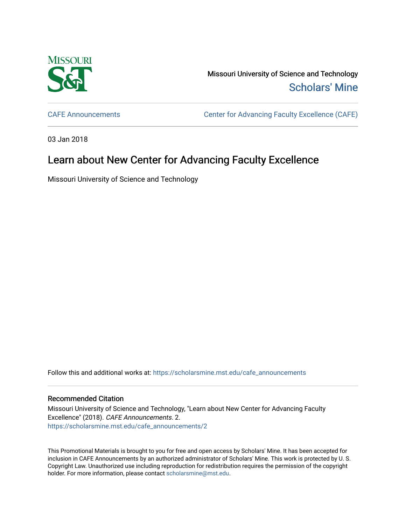

Missouri University of Science and Technology [Scholars' Mine](https://scholarsmine.mst.edu/) 

[CAFE Announcements](https://scholarsmine.mst.edu/cafe_announcements) [Center for Advancing Faculty Excellence \(CAFE\)](https://scholarsmine.mst.edu/cafe) 

03 Jan 2018

## Learn about New Center for Advancing Faculty Excellence

Missouri University of Science and Technology

Follow this and additional works at: [https://scholarsmine.mst.edu/cafe\\_announcements](https://scholarsmine.mst.edu/cafe_announcements?utm_source=scholarsmine.mst.edu%2Fcafe_announcements%2F2&utm_medium=PDF&utm_campaign=PDFCoverPages) 

## Recommended Citation

Missouri University of Science and Technology, "Learn about New Center for Advancing Faculty Excellence" (2018). CAFE Announcements. 2. [https://scholarsmine.mst.edu/cafe\\_announcements/2](https://scholarsmine.mst.edu/cafe_announcements/2?utm_source=scholarsmine.mst.edu%2Fcafe_announcements%2F2&utm_medium=PDF&utm_campaign=PDFCoverPages) 

This Promotional Materials is brought to you for free and open access by Scholars' Mine. It has been accepted for inclusion in CAFE Announcements by an authorized administrator of Scholars' Mine. This work is protected by U. S. Copyright Law. Unauthorized use including reproduction for redistribution requires the permission of the copyright holder. For more information, please contact [scholarsmine@mst.edu.](mailto:scholarsmine@mst.edu)